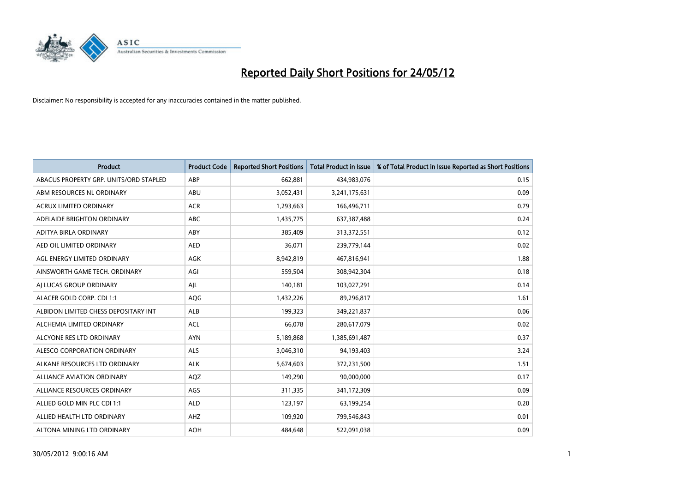

| <b>Product</b>                         | <b>Product Code</b> | <b>Reported Short Positions</b> | Total Product in Issue | % of Total Product in Issue Reported as Short Positions |
|----------------------------------------|---------------------|---------------------------------|------------------------|---------------------------------------------------------|
| ABACUS PROPERTY GRP. UNITS/ORD STAPLED | ABP                 | 662,881                         | 434,983,076            | 0.15                                                    |
| ABM RESOURCES NL ORDINARY              | ABU                 | 3,052,431                       | 3,241,175,631          | 0.09                                                    |
| <b>ACRUX LIMITED ORDINARY</b>          | <b>ACR</b>          | 1,293,663                       | 166,496,711            | 0.79                                                    |
| ADELAIDE BRIGHTON ORDINARY             | <b>ABC</b>          | 1,435,775                       | 637,387,488            | 0.24                                                    |
| ADITYA BIRLA ORDINARY                  | ABY                 | 385,409                         | 313,372,551            | 0.12                                                    |
| AED OIL LIMITED ORDINARY               | <b>AED</b>          | 36,071                          | 239,779,144            | 0.02                                                    |
| AGL ENERGY LIMITED ORDINARY            | AGK                 | 8,942,819                       | 467,816,941            | 1.88                                                    |
| AINSWORTH GAME TECH. ORDINARY          | AGI                 | 559,504                         | 308,942,304            | 0.18                                                    |
| AJ LUCAS GROUP ORDINARY                | AJL                 | 140,181                         | 103,027,291            | 0.14                                                    |
| ALACER GOLD CORP. CDI 1:1              | AQG                 | 1,432,226                       | 89,296,817             | 1.61                                                    |
| ALBIDON LIMITED CHESS DEPOSITARY INT   | <b>ALB</b>          | 199,323                         | 349,221,837            | 0.06                                                    |
| ALCHEMIA LIMITED ORDINARY              | <b>ACL</b>          | 66,078                          | 280,617,079            | 0.02                                                    |
| ALCYONE RES LTD ORDINARY               | <b>AYN</b>          | 5,189,868                       | 1,385,691,487          | 0.37                                                    |
| ALESCO CORPORATION ORDINARY            | ALS                 | 3,046,310                       | 94,193,403             | 3.24                                                    |
| ALKANE RESOURCES LTD ORDINARY          | <b>ALK</b>          | 5,674,603                       | 372,231,500            | 1.51                                                    |
| <b>ALLIANCE AVIATION ORDINARY</b>      | AQZ                 | 149,290                         | 90,000,000             | 0.17                                                    |
| ALLIANCE RESOURCES ORDINARY            | AGS                 | 311,335                         | 341,172,309            | 0.09                                                    |
| ALLIED GOLD MIN PLC CDI 1:1            | <b>ALD</b>          | 123,197                         | 63,199,254             | 0.20                                                    |
| ALLIED HEALTH LTD ORDINARY             | AHZ                 | 109,920                         | 799,546,843            | 0.01                                                    |
| ALTONA MINING LTD ORDINARY             | <b>AOH</b>          | 484,648                         | 522,091,038            | 0.09                                                    |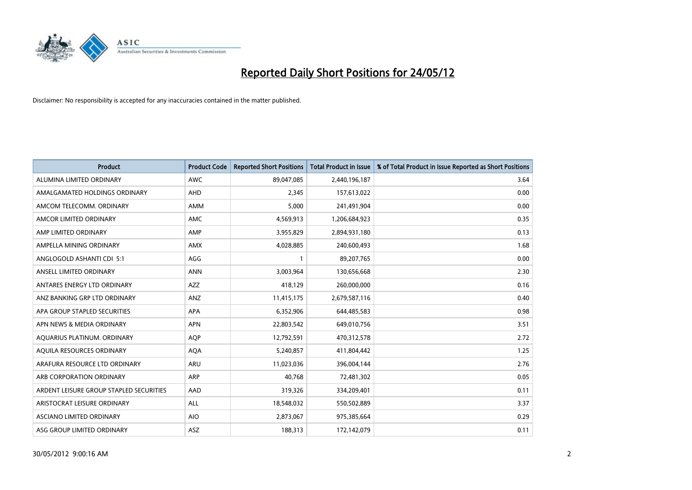

| <b>Product</b>                          | <b>Product Code</b> | <b>Reported Short Positions</b> | <b>Total Product in Issue</b> | % of Total Product in Issue Reported as Short Positions |
|-----------------------------------------|---------------------|---------------------------------|-------------------------------|---------------------------------------------------------|
| ALUMINA LIMITED ORDINARY                | <b>AWC</b>          | 89,047,085                      | 2,440,196,187                 | 3.64                                                    |
| AMALGAMATED HOLDINGS ORDINARY           | AHD                 | 2,345                           | 157,613,022                   | 0.00                                                    |
| AMCOM TELECOMM, ORDINARY                | AMM                 | 5,000                           | 241,491,904                   | 0.00                                                    |
| AMCOR LIMITED ORDINARY                  | AMC                 | 4,569,913                       | 1,206,684,923                 | 0.35                                                    |
| AMP LIMITED ORDINARY                    | AMP                 | 3,955,829                       | 2,894,931,180                 | 0.13                                                    |
| AMPELLA MINING ORDINARY                 | <b>AMX</b>          | 4,028,885                       | 240,600,493                   | 1.68                                                    |
| ANGLOGOLD ASHANTI CDI 5:1               | AGG                 |                                 | 89,207,765                    | 0.00                                                    |
| ANSELL LIMITED ORDINARY                 | <b>ANN</b>          | 3,003,964                       | 130,656,668                   | 2.30                                                    |
| ANTARES ENERGY LTD ORDINARY             | <b>AZZ</b>          | 418,129                         | 260,000,000                   | 0.16                                                    |
| ANZ BANKING GRP LTD ORDINARY            | ANZ                 | 11,415,175                      | 2,679,587,116                 | 0.40                                                    |
| APA GROUP STAPLED SECURITIES            | APA                 | 6,352,906                       | 644,485,583                   | 0.98                                                    |
| APN NEWS & MEDIA ORDINARY               | <b>APN</b>          | 22,803,542                      | 649,010,756                   | 3.51                                                    |
| AQUARIUS PLATINUM. ORDINARY             | <b>AOP</b>          | 12,792,591                      | 470,312,578                   | 2.72                                                    |
| AQUILA RESOURCES ORDINARY               | <b>AQA</b>          | 5,240,857                       | 411,804,442                   | 1.25                                                    |
| ARAFURA RESOURCE LTD ORDINARY           | <b>ARU</b>          | 11,023,036                      | 396,004,144                   | 2.76                                                    |
| ARB CORPORATION ORDINARY                | ARP                 | 40,768                          | 72,481,302                    | 0.05                                                    |
| ARDENT LEISURE GROUP STAPLED SECURITIES | AAD                 | 319,326                         | 334,209,401                   | 0.11                                                    |
| ARISTOCRAT LEISURE ORDINARY             | ALL                 | 18,548,032                      | 550,502,889                   | 3.37                                                    |
| ASCIANO LIMITED ORDINARY                | <b>AIO</b>          | 2,873,067                       | 975,385,664                   | 0.29                                                    |
| ASG GROUP LIMITED ORDINARY              | ASZ                 | 188,313                         | 172,142,079                   | 0.11                                                    |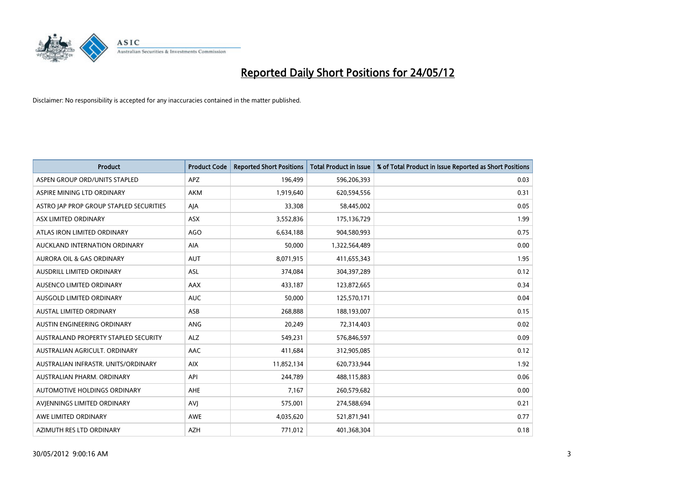

| <b>Product</b>                          | <b>Product Code</b> | <b>Reported Short Positions</b> | <b>Total Product in Issue</b> | % of Total Product in Issue Reported as Short Positions |
|-----------------------------------------|---------------------|---------------------------------|-------------------------------|---------------------------------------------------------|
| ASPEN GROUP ORD/UNITS STAPLED           | <b>APZ</b>          | 196,499                         | 596,206,393                   | 0.03                                                    |
| ASPIRE MINING LTD ORDINARY              | <b>AKM</b>          | 1,919,640                       | 620,594,556                   | 0.31                                                    |
| ASTRO JAP PROP GROUP STAPLED SECURITIES | AJA                 | 33,308                          | 58,445,002                    | 0.05                                                    |
| ASX LIMITED ORDINARY                    | ASX                 | 3,552,836                       | 175,136,729                   | 1.99                                                    |
| ATLAS IRON LIMITED ORDINARY             | <b>AGO</b>          | 6,634,188                       | 904,580,993                   | 0.75                                                    |
| AUCKLAND INTERNATION ORDINARY           | <b>AIA</b>          | 50,000                          | 1,322,564,489                 | 0.00                                                    |
| AURORA OIL & GAS ORDINARY               | <b>AUT</b>          | 8,071,915                       | 411,655,343                   | 1.95                                                    |
| AUSDRILL LIMITED ORDINARY               | ASL                 | 374,084                         | 304,397,289                   | 0.12                                                    |
| AUSENCO LIMITED ORDINARY                | AAX                 | 433,187                         | 123,872,665                   | 0.34                                                    |
| AUSGOLD LIMITED ORDINARY                | <b>AUC</b>          | 50,000                          | 125,570,171                   | 0.04                                                    |
| AUSTAL LIMITED ORDINARY                 | ASB                 | 268,888                         | 188,193,007                   | 0.15                                                    |
| AUSTIN ENGINEERING ORDINARY             | ANG                 | 20,249                          | 72,314,403                    | 0.02                                                    |
| AUSTRALAND PROPERTY STAPLED SECURITY    | <b>ALZ</b>          | 549,231                         | 576,846,597                   | 0.09                                                    |
| AUSTRALIAN AGRICULT, ORDINARY           | AAC                 | 411,684                         | 312,905,085                   | 0.12                                                    |
| AUSTRALIAN INFRASTR, UNITS/ORDINARY     | <b>AIX</b>          | 11,852,134                      | 620,733,944                   | 1.92                                                    |
| AUSTRALIAN PHARM. ORDINARY              | API                 | 244,789                         | 488,115,883                   | 0.06                                                    |
| AUTOMOTIVE HOLDINGS ORDINARY            | AHE                 | 7,167                           | 260,579,682                   | 0.00                                                    |
| AVJENNINGS LIMITED ORDINARY             | <b>AVI</b>          | 575,001                         | 274,588,694                   | 0.21                                                    |
| AWE LIMITED ORDINARY                    | AWE                 | 4,035,620                       | 521,871,941                   | 0.77                                                    |
| AZIMUTH RES LTD ORDINARY                | <b>AZH</b>          | 771,012                         | 401,368,304                   | 0.18                                                    |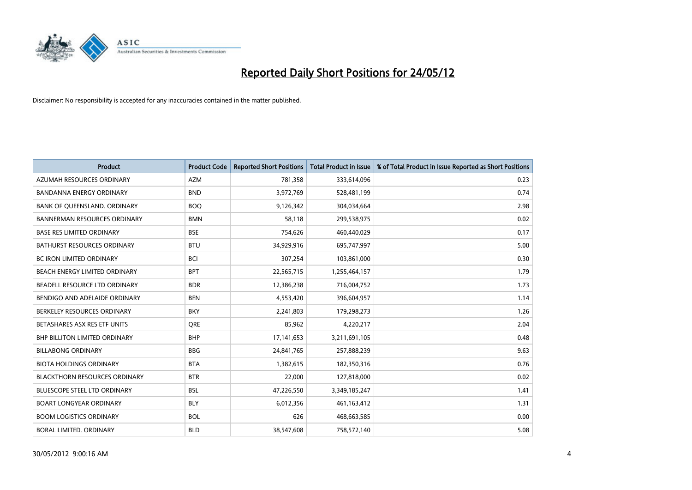

| <b>Product</b>                       | <b>Product Code</b> | <b>Reported Short Positions</b> | <b>Total Product in Issue</b> | % of Total Product in Issue Reported as Short Positions |
|--------------------------------------|---------------------|---------------------------------|-------------------------------|---------------------------------------------------------|
| AZUMAH RESOURCES ORDINARY            | <b>AZM</b>          | 781,358                         | 333,614,096                   | 0.23                                                    |
| BANDANNA ENERGY ORDINARY             | <b>BND</b>          | 3,972,769                       | 528,481,199                   | 0.74                                                    |
| BANK OF QUEENSLAND. ORDINARY         | <b>BOQ</b>          | 9,126,342                       | 304,034,664                   | 2.98                                                    |
| <b>BANNERMAN RESOURCES ORDINARY</b>  | <b>BMN</b>          | 58,118                          | 299,538,975                   | 0.02                                                    |
| <b>BASE RES LIMITED ORDINARY</b>     | <b>BSE</b>          | 754,626                         | 460,440,029                   | 0.17                                                    |
| <b>BATHURST RESOURCES ORDINARY</b>   | <b>BTU</b>          | 34,929,916                      | 695,747,997                   | 5.00                                                    |
| <b>BC IRON LIMITED ORDINARY</b>      | <b>BCI</b>          | 307,254                         | 103,861,000                   | 0.30                                                    |
| BEACH ENERGY LIMITED ORDINARY        | <b>BPT</b>          | 22,565,715                      | 1,255,464,157                 | 1.79                                                    |
| BEADELL RESOURCE LTD ORDINARY        | <b>BDR</b>          | 12,386,238                      | 716,004,752                   | 1.73                                                    |
| BENDIGO AND ADELAIDE ORDINARY        | <b>BEN</b>          | 4,553,420                       | 396,604,957                   | 1.14                                                    |
| BERKELEY RESOURCES ORDINARY          | <b>BKY</b>          | 2,241,803                       | 179,298,273                   | 1.26                                                    |
| BETASHARES ASX RES ETF UNITS         | <b>ORE</b>          | 85,962                          | 4,220,217                     | 2.04                                                    |
| <b>BHP BILLITON LIMITED ORDINARY</b> | <b>BHP</b>          | 17, 141, 653                    | 3,211,691,105                 | 0.48                                                    |
| <b>BILLABONG ORDINARY</b>            | <b>BBG</b>          | 24,841,765                      | 257,888,239                   | 9.63                                                    |
| <b>BIOTA HOLDINGS ORDINARY</b>       | <b>BTA</b>          | 1,382,615                       | 182,350,316                   | 0.76                                                    |
| <b>BLACKTHORN RESOURCES ORDINARY</b> | <b>BTR</b>          | 22,000                          | 127,818,000                   | 0.02                                                    |
| BLUESCOPE STEEL LTD ORDINARY         | <b>BSL</b>          | 47,226,550                      | 3,349,185,247                 | 1.41                                                    |
| <b>BOART LONGYEAR ORDINARY</b>       | <b>BLY</b>          | 6,012,356                       | 461,163,412                   | 1.31                                                    |
| <b>BOOM LOGISTICS ORDINARY</b>       | <b>BOL</b>          | 626                             | 468,663,585                   | 0.00                                                    |
| BORAL LIMITED. ORDINARY              | <b>BLD</b>          | 38,547,608                      | 758,572,140                   | 5.08                                                    |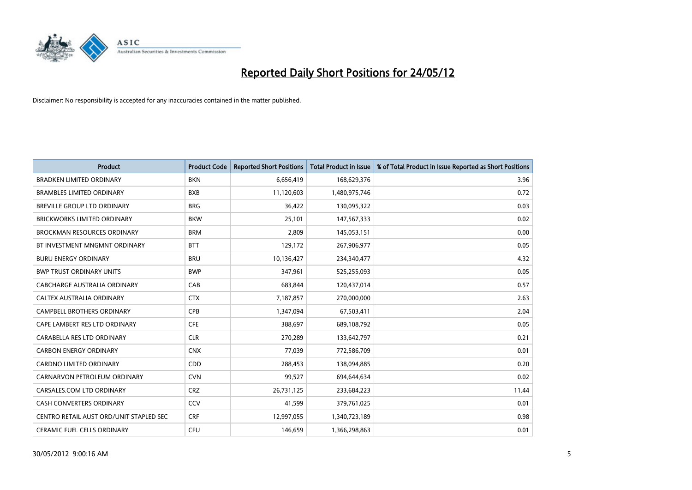

| <b>Product</b>                          | <b>Product Code</b> | <b>Reported Short Positions</b> | <b>Total Product in Issue</b> | % of Total Product in Issue Reported as Short Positions |
|-----------------------------------------|---------------------|---------------------------------|-------------------------------|---------------------------------------------------------|
| <b>BRADKEN LIMITED ORDINARY</b>         | <b>BKN</b>          | 6,656,419                       | 168,629,376                   | 3.96                                                    |
| <b>BRAMBLES LIMITED ORDINARY</b>        | <b>BXB</b>          | 11,120,603                      | 1,480,975,746                 | 0.72                                                    |
| BREVILLE GROUP LTD ORDINARY             | <b>BRG</b>          | 36,422                          | 130,095,322                   | 0.03                                                    |
| BRICKWORKS LIMITED ORDINARY             | <b>BKW</b>          | 25,101                          | 147,567,333                   | 0.02                                                    |
| <b>BROCKMAN RESOURCES ORDINARY</b>      | <b>BRM</b>          | 2,809                           | 145,053,151                   | 0.00                                                    |
| BT INVESTMENT MNGMNT ORDINARY           | <b>BTT</b>          | 129,172                         | 267,906,977                   | 0.05                                                    |
| <b>BURU ENERGY ORDINARY</b>             | <b>BRU</b>          | 10,136,427                      | 234,340,477                   | 4.32                                                    |
| <b>BWP TRUST ORDINARY UNITS</b>         | <b>BWP</b>          | 347,961                         | 525,255,093                   | 0.05                                                    |
| CABCHARGE AUSTRALIA ORDINARY            | CAB                 | 683,844                         | 120,437,014                   | 0.57                                                    |
| CALTEX AUSTRALIA ORDINARY               | <b>CTX</b>          | 7,187,857                       | 270,000,000                   | 2.63                                                    |
| CAMPBELL BROTHERS ORDINARY              | <b>CPB</b>          | 1,347,094                       | 67,503,411                    | 2.04                                                    |
| CAPE LAMBERT RES LTD ORDINARY           | <b>CFE</b>          | 388,697                         | 689,108,792                   | 0.05                                                    |
| CARABELLA RES LTD ORDINARY              | <b>CLR</b>          | 270,289                         | 133,642,797                   | 0.21                                                    |
| <b>CARBON ENERGY ORDINARY</b>           | <b>CNX</b>          | 77,039                          | 772,586,709                   | 0.01                                                    |
| <b>CARDNO LIMITED ORDINARY</b>          | CDD                 | 288,453                         | 138,094,885                   | 0.20                                                    |
| CARNARVON PETROLEUM ORDINARY            | <b>CVN</b>          | 99,527                          | 694,644,634                   | 0.02                                                    |
| CARSALES.COM LTD ORDINARY               | <b>CRZ</b>          | 26,731,125                      | 233,684,223                   | 11.44                                                   |
| CASH CONVERTERS ORDINARY                | CCV                 | 41,599                          | 379,761,025                   | 0.01                                                    |
| CENTRO RETAIL AUST ORD/UNIT STAPLED SEC | <b>CRF</b>          | 12,997,055                      | 1,340,723,189                 | 0.98                                                    |
| CERAMIC FUEL CELLS ORDINARY             | <b>CFU</b>          | 146,659                         | 1,366,298,863                 | 0.01                                                    |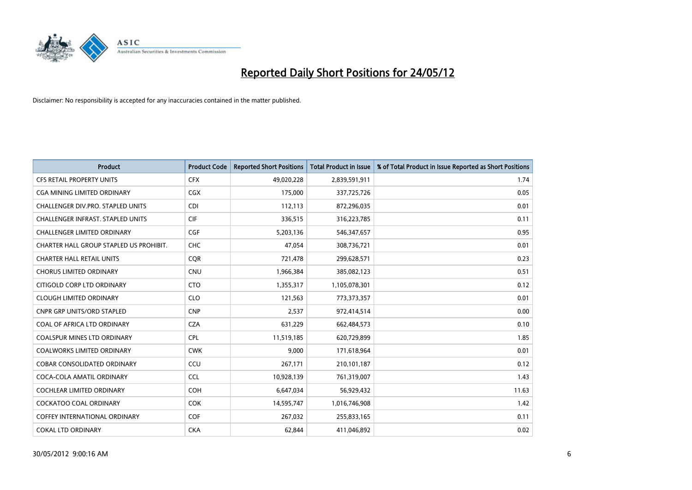

| <b>Product</b>                          | <b>Product Code</b> | <b>Reported Short Positions</b> | Total Product in Issue | % of Total Product in Issue Reported as Short Positions |
|-----------------------------------------|---------------------|---------------------------------|------------------------|---------------------------------------------------------|
| <b>CFS RETAIL PROPERTY UNITS</b>        | <b>CFX</b>          | 49,020,228                      | 2,839,591,911          | 1.74                                                    |
| CGA MINING LIMITED ORDINARY             | CGX                 | 175,000                         | 337,725,726            | 0.05                                                    |
| CHALLENGER DIV.PRO. STAPLED UNITS       | <b>CDI</b>          | 112,113                         | 872,296,035            | 0.01                                                    |
| CHALLENGER INFRAST. STAPLED UNITS       | <b>CIF</b>          | 336,515                         | 316,223,785            | 0.11                                                    |
| <b>CHALLENGER LIMITED ORDINARY</b>      | <b>CGF</b>          | 5,203,136                       | 546,347,657            | 0.95                                                    |
| CHARTER HALL GROUP STAPLED US PROHIBIT. | CHC                 | 47,054                          | 308,736,721            | 0.01                                                    |
| <b>CHARTER HALL RETAIL UNITS</b>        | <b>COR</b>          | 721,478                         | 299,628,571            | 0.23                                                    |
| <b>CHORUS LIMITED ORDINARY</b>          | <b>CNU</b>          | 1,966,384                       | 385,082,123            | 0.51                                                    |
| CITIGOLD CORP LTD ORDINARY              | <b>CTO</b>          | 1,355,317                       | 1,105,078,301          | 0.12                                                    |
| <b>CLOUGH LIMITED ORDINARY</b>          | <b>CLO</b>          | 121,563                         | 773,373,357            | 0.01                                                    |
| CNPR GRP UNITS/ORD STAPLED              | <b>CNP</b>          | 2,537                           | 972,414,514            | 0.00                                                    |
| COAL OF AFRICA LTD ORDINARY             | <b>CZA</b>          | 631,229                         | 662,484,573            | 0.10                                                    |
| COALSPUR MINES LTD ORDINARY             | <b>CPL</b>          | 11,519,185                      | 620,729,899            | 1.85                                                    |
| <b>COALWORKS LIMITED ORDINARY</b>       | <b>CWK</b>          | 9,000                           | 171,618,964            | 0.01                                                    |
| <b>COBAR CONSOLIDATED ORDINARY</b>      | CCU                 | 267,171                         | 210,101,187            | 0.12                                                    |
| COCA-COLA AMATIL ORDINARY               | <b>CCL</b>          | 10,928,139                      | 761,319,007            | 1.43                                                    |
| COCHLEAR LIMITED ORDINARY               | COH                 | 6,647,034                       | 56,929,432             | 11.63                                                   |
| COCKATOO COAL ORDINARY                  | <b>COK</b>          | 14,595,747                      | 1,016,746,908          | 1.42                                                    |
| <b>COFFEY INTERNATIONAL ORDINARY</b>    | <b>COF</b>          | 267,032                         | 255,833,165            | 0.11                                                    |
| <b>COKAL LTD ORDINARY</b>               | <b>CKA</b>          | 62,844                          | 411,046,892            | 0.02                                                    |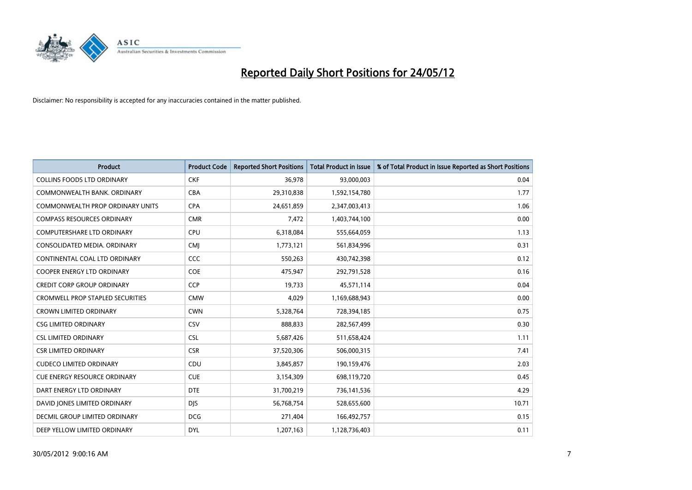

| <b>Product</b>                          | <b>Product Code</b> | <b>Reported Short Positions</b> | <b>Total Product in Issue</b> | % of Total Product in Issue Reported as Short Positions |
|-----------------------------------------|---------------------|---------------------------------|-------------------------------|---------------------------------------------------------|
| <b>COLLINS FOODS LTD ORDINARY</b>       | <b>CKF</b>          | 36,978                          | 93,000,003                    | 0.04                                                    |
| COMMONWEALTH BANK, ORDINARY             | <b>CBA</b>          | 29,310,838                      | 1,592,154,780                 | 1.77                                                    |
| <b>COMMONWEALTH PROP ORDINARY UNITS</b> | <b>CPA</b>          | 24,651,859                      | 2,347,003,413                 | 1.06                                                    |
| <b>COMPASS RESOURCES ORDINARY</b>       | <b>CMR</b>          | 7,472                           | 1,403,744,100                 | 0.00                                                    |
| <b>COMPUTERSHARE LTD ORDINARY</b>       | <b>CPU</b>          | 6,318,084                       | 555,664,059                   | 1.13                                                    |
| CONSOLIDATED MEDIA, ORDINARY            | <b>CMJ</b>          | 1,773,121                       | 561,834,996                   | 0.31                                                    |
| CONTINENTAL COAL LTD ORDINARY           | <b>CCC</b>          | 550,263                         | 430,742,398                   | 0.12                                                    |
| <b>COOPER ENERGY LTD ORDINARY</b>       | <b>COE</b>          | 475,947                         | 292,791,528                   | 0.16                                                    |
| <b>CREDIT CORP GROUP ORDINARY</b>       | <b>CCP</b>          | 19,733                          | 45,571,114                    | 0.04                                                    |
| <b>CROMWELL PROP STAPLED SECURITIES</b> | <b>CMW</b>          | 4,029                           | 1,169,688,943                 | 0.00                                                    |
| <b>CROWN LIMITED ORDINARY</b>           | <b>CWN</b>          | 5,328,764                       | 728,394,185                   | 0.75                                                    |
| <b>CSG LIMITED ORDINARY</b>             | <b>CSV</b>          | 888,833                         | 282,567,499                   | 0.30                                                    |
| <b>CSL LIMITED ORDINARY</b>             | CSL                 | 5,687,426                       | 511,658,424                   | 1.11                                                    |
| <b>CSR LIMITED ORDINARY</b>             | <b>CSR</b>          | 37,520,306                      | 506,000,315                   | 7.41                                                    |
| <b>CUDECO LIMITED ORDINARY</b>          | CDU                 | 3,845,857                       | 190,159,476                   | 2.03                                                    |
| <b>CUE ENERGY RESOURCE ORDINARY</b>     | <b>CUE</b>          | 3,154,309                       | 698,119,720                   | 0.45                                                    |
| DART ENERGY LTD ORDINARY                | <b>DTE</b>          | 31,700,219                      | 736,141,536                   | 4.29                                                    |
| DAVID JONES LIMITED ORDINARY            | <b>DJS</b>          | 56,768,754                      | 528,655,600                   | 10.71                                                   |
| DECMIL GROUP LIMITED ORDINARY           | <b>DCG</b>          | 271,404                         | 166,492,757                   | 0.15                                                    |
| DEEP YELLOW LIMITED ORDINARY            | <b>DYL</b>          | 1,207,163                       | 1,128,736,403                 | 0.11                                                    |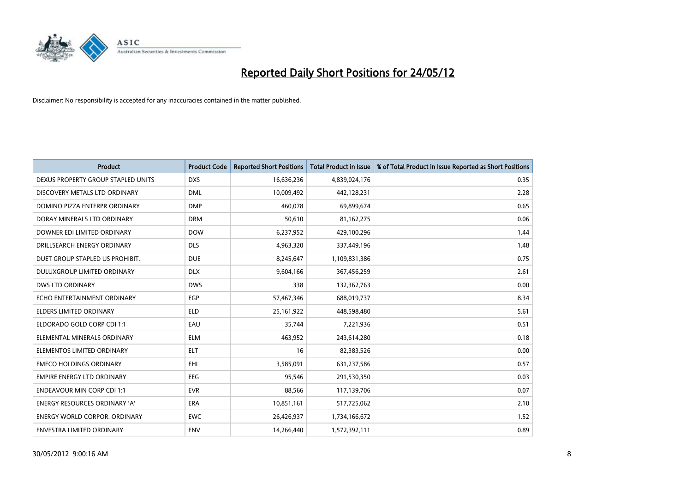

| <b>Product</b>                       | <b>Product Code</b> | <b>Reported Short Positions</b> | <b>Total Product in Issue</b> | % of Total Product in Issue Reported as Short Positions |
|--------------------------------------|---------------------|---------------------------------|-------------------------------|---------------------------------------------------------|
| DEXUS PROPERTY GROUP STAPLED UNITS   | <b>DXS</b>          | 16,636,236                      | 4,839,024,176                 | 0.35                                                    |
| DISCOVERY METALS LTD ORDINARY        | <b>DML</b>          | 10,009,492                      | 442,128,231                   | 2.28                                                    |
| DOMINO PIZZA ENTERPR ORDINARY        | <b>DMP</b>          | 460,078                         | 69,899,674                    | 0.65                                                    |
| DORAY MINERALS LTD ORDINARY          | <b>DRM</b>          | 50,610                          | 81,162,275                    | 0.06                                                    |
| DOWNER EDI LIMITED ORDINARY          | <b>DOW</b>          | 6,237,952                       | 429,100,296                   | 1.44                                                    |
| DRILLSEARCH ENERGY ORDINARY          | <b>DLS</b>          | 4,963,320                       | 337,449,196                   | 1.48                                                    |
| DUET GROUP STAPLED US PROHIBIT.      | <b>DUE</b>          | 8,245,647                       | 1,109,831,386                 | 0.75                                                    |
| DULUXGROUP LIMITED ORDINARY          | <b>DLX</b>          | 9,604,166                       | 367,456,259                   | 2.61                                                    |
| <b>DWS LTD ORDINARY</b>              | <b>DWS</b>          | 338                             | 132,362,763                   | 0.00                                                    |
| ECHO ENTERTAINMENT ORDINARY          | <b>EGP</b>          | 57,467,346                      | 688,019,737                   | 8.34                                                    |
| <b>ELDERS LIMITED ORDINARY</b>       | <b>ELD</b>          | 25, 161, 922                    | 448,598,480                   | 5.61                                                    |
| ELDORADO GOLD CORP CDI 1:1           | EAU                 | 35,744                          | 7,221,936                     | 0.51                                                    |
| ELEMENTAL MINERALS ORDINARY          | <b>ELM</b>          | 463,952                         | 243,614,280                   | 0.18                                                    |
| ELEMENTOS LIMITED ORDINARY           | <b>ELT</b>          | 16                              | 82,383,526                    | 0.00                                                    |
| <b>EMECO HOLDINGS ORDINARY</b>       | <b>EHL</b>          | 3,585,091                       | 631,237,586                   | 0.57                                                    |
| <b>EMPIRE ENERGY LTD ORDINARY</b>    | <b>EEG</b>          | 95.546                          | 291,530,350                   | 0.03                                                    |
| <b>ENDEAVOUR MIN CORP CDI 1:1</b>    | <b>EVR</b>          | 88,566                          | 117,139,706                   | 0.07                                                    |
| ENERGY RESOURCES ORDINARY 'A'        | <b>ERA</b>          | 10,851,161                      | 517,725,062                   | 2.10                                                    |
| <b>ENERGY WORLD CORPOR, ORDINARY</b> | <b>EWC</b>          | 26,426,937                      | 1,734,166,672                 | 1.52                                                    |
| ENVESTRA LIMITED ORDINARY            | <b>ENV</b>          | 14,266,440                      | 1,572,392,111                 | 0.89                                                    |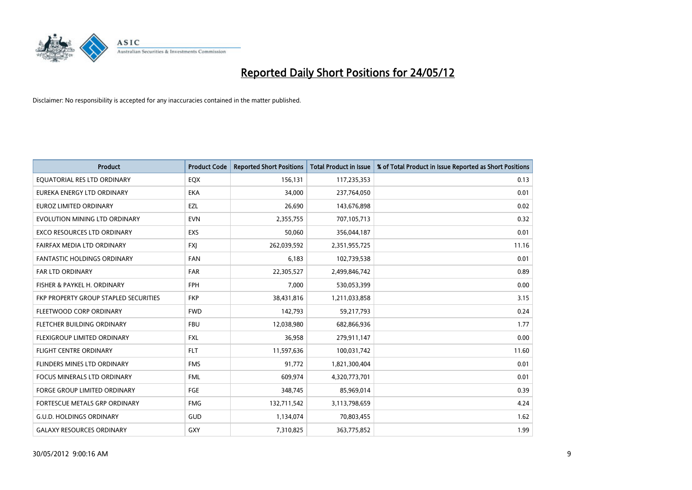

| <b>Product</b>                        | <b>Product Code</b> | <b>Reported Short Positions</b> | <b>Total Product in Issue</b> | % of Total Product in Issue Reported as Short Positions |
|---------------------------------------|---------------------|---------------------------------|-------------------------------|---------------------------------------------------------|
| EQUATORIAL RES LTD ORDINARY           | EQX                 | 156,131                         | 117,235,353                   | 0.13                                                    |
| EUREKA ENERGY LTD ORDINARY            | <b>EKA</b>          | 34,000                          | 237,764,050                   | 0.01                                                    |
| <b>EUROZ LIMITED ORDINARY</b>         | EZL                 | 26,690                          | 143,676,898                   | 0.02                                                    |
| EVOLUTION MINING LTD ORDINARY         | <b>EVN</b>          | 2,355,755                       | 707,105,713                   | 0.32                                                    |
| <b>EXCO RESOURCES LTD ORDINARY</b>    | EXS                 | 50,060                          | 356,044,187                   | 0.01                                                    |
| FAIRFAX MEDIA LTD ORDINARY            | <b>FXI</b>          | 262,039,592                     | 2,351,955,725                 | 11.16                                                   |
| <b>FANTASTIC HOLDINGS ORDINARY</b>    | <b>FAN</b>          | 6,183                           | 102,739,538                   | 0.01                                                    |
| FAR LTD ORDINARY                      | <b>FAR</b>          | 22,305,527                      | 2,499,846,742                 | 0.89                                                    |
| FISHER & PAYKEL H. ORDINARY           | <b>FPH</b>          | 7,000                           | 530,053,399                   | 0.00                                                    |
| FKP PROPERTY GROUP STAPLED SECURITIES | <b>FKP</b>          | 38,431,816                      | 1,211,033,858                 | 3.15                                                    |
| FLEETWOOD CORP ORDINARY               | <b>FWD</b>          | 142,793                         | 59,217,793                    | 0.24                                                    |
| FLETCHER BUILDING ORDINARY            | <b>FBU</b>          | 12,038,980                      | 682,866,936                   | 1.77                                                    |
| FLEXIGROUP LIMITED ORDINARY           | FXL                 | 36,958                          | 279,911,147                   | 0.00                                                    |
| <b>FLIGHT CENTRE ORDINARY</b>         | <b>FLT</b>          | 11,597,636                      | 100,031,742                   | 11.60                                                   |
| FLINDERS MINES LTD ORDINARY           | <b>FMS</b>          | 91,772                          | 1,821,300,404                 | 0.01                                                    |
| <b>FOCUS MINERALS LTD ORDINARY</b>    | <b>FML</b>          | 609,974                         | 4,320,773,701                 | 0.01                                                    |
| <b>FORGE GROUP LIMITED ORDINARY</b>   | FGE                 | 348,745                         | 85,969,014                    | 0.39                                                    |
| FORTESCUE METALS GRP ORDINARY         | <b>FMG</b>          | 132,711,542                     | 3,113,798,659                 | 4.24                                                    |
| <b>G.U.D. HOLDINGS ORDINARY</b>       | GUD                 | 1,134,074                       | 70,803,455                    | 1.62                                                    |
| <b>GALAXY RESOURCES ORDINARY</b>      | GXY                 | 7,310,825                       | 363,775,852                   | 1.99                                                    |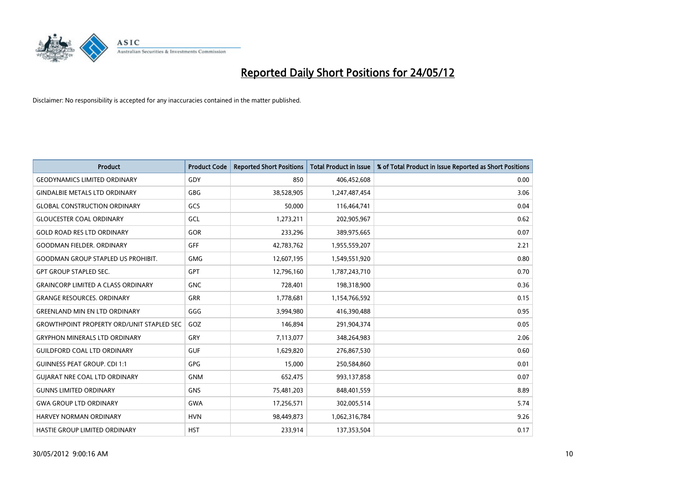

| <b>Product</b>                                   | <b>Product Code</b> | <b>Reported Short Positions</b> | <b>Total Product in Issue</b> | % of Total Product in Issue Reported as Short Positions |
|--------------------------------------------------|---------------------|---------------------------------|-------------------------------|---------------------------------------------------------|
| <b>GEODYNAMICS LIMITED ORDINARY</b>              | GDY                 | 850                             | 406,452,608                   | 0.00                                                    |
| <b>GINDALBIE METALS LTD ORDINARY</b>             | <b>GBG</b>          | 38,528,905                      | 1,247,487,454                 | 3.06                                                    |
| <b>GLOBAL CONSTRUCTION ORDINARY</b>              | GCS                 | 50,000                          | 116,464,741                   | 0.04                                                    |
| <b>GLOUCESTER COAL ORDINARY</b>                  | GCL                 | 1,273,211                       | 202,905,967                   | 0.62                                                    |
| <b>GOLD ROAD RES LTD ORDINARY</b>                | GOR                 | 233,296                         | 389,975,665                   | 0.07                                                    |
| <b>GOODMAN FIELDER, ORDINARY</b>                 | GFF                 | 42,783,762                      | 1,955,559,207                 | 2.21                                                    |
| <b>GOODMAN GROUP STAPLED US PROHIBIT.</b>        | <b>GMG</b>          | 12,607,195                      | 1,549,551,920                 | 0.80                                                    |
| <b>GPT GROUP STAPLED SEC.</b>                    | GPT                 | 12,796,160                      | 1,787,243,710                 | 0.70                                                    |
| <b>GRAINCORP LIMITED A CLASS ORDINARY</b>        | <b>GNC</b>          | 728,401                         | 198,318,900                   | 0.36                                                    |
| <b>GRANGE RESOURCES, ORDINARY</b>                | <b>GRR</b>          | 1,778,681                       | 1,154,766,592                 | 0.15                                                    |
| <b>GREENLAND MIN EN LTD ORDINARY</b>             | GGG                 | 3,994,980                       | 416,390,488                   | 0.95                                                    |
| <b>GROWTHPOINT PROPERTY ORD/UNIT STAPLED SEC</b> | GOZ                 | 146,894                         | 291,904,374                   | 0.05                                                    |
| <b>GRYPHON MINERALS LTD ORDINARY</b>             | GRY                 | 7,113,077                       | 348,264,983                   | 2.06                                                    |
| <b>GUILDFORD COAL LTD ORDINARY</b>               | <b>GUF</b>          | 1,629,820                       | 276,867,530                   | 0.60                                                    |
| <b>GUINNESS PEAT GROUP. CDI 1:1</b>              | <b>GPG</b>          | 15,000                          | 250,584,860                   | 0.01                                                    |
| <b>GUIARAT NRE COAL LTD ORDINARY</b>             | <b>GNM</b>          | 652,475                         | 993,137,858                   | 0.07                                                    |
| <b>GUNNS LIMITED ORDINARY</b>                    | <b>GNS</b>          | 75,481,203                      | 848,401,559                   | 8.89                                                    |
| <b>GWA GROUP LTD ORDINARY</b>                    | <b>GWA</b>          | 17,256,571                      | 302,005,514                   | 5.74                                                    |
| <b>HARVEY NORMAN ORDINARY</b>                    | <b>HVN</b>          | 98,449,873                      | 1,062,316,784                 | 9.26                                                    |
| HASTIE GROUP LIMITED ORDINARY                    | <b>HST</b>          | 233,914                         | 137,353,504                   | 0.17                                                    |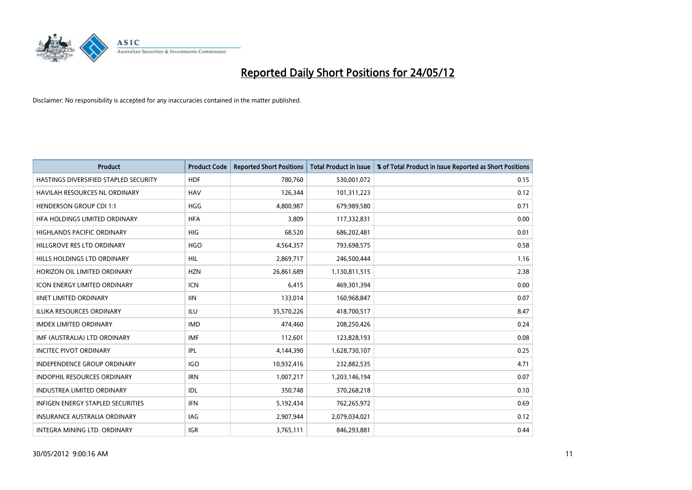

| <b>Product</b>                           | <b>Product Code</b> | <b>Reported Short Positions</b> | <b>Total Product in Issue</b> | % of Total Product in Issue Reported as Short Positions |
|------------------------------------------|---------------------|---------------------------------|-------------------------------|---------------------------------------------------------|
| HASTINGS DIVERSIFIED STAPLED SECURITY    | <b>HDF</b>          | 780,760                         | 530,001,072                   | 0.15                                                    |
| HAVILAH RESOURCES NL ORDINARY            | <b>HAV</b>          | 126,344                         | 101,311,223                   | 0.12                                                    |
| <b>HENDERSON GROUP CDI 1:1</b>           | <b>HGG</b>          | 4,800,987                       | 679,989,580                   | 0.71                                                    |
| HFA HOLDINGS LIMITED ORDINARY            | <b>HFA</b>          | 3,809                           | 117,332,831                   | 0.00                                                    |
| <b>HIGHLANDS PACIFIC ORDINARY</b>        | <b>HIG</b>          | 68,520                          | 686,202,481                   | 0.01                                                    |
| HILLGROVE RES LTD ORDINARY               | <b>HGO</b>          | 4,564,357                       | 793,698,575                   | 0.58                                                    |
| HILLS HOLDINGS LTD ORDINARY              | <b>HIL</b>          | 2,869,717                       | 246,500,444                   | 1.16                                                    |
| HORIZON OIL LIMITED ORDINARY             | <b>HZN</b>          | 26,861,689                      | 1,130,811,515                 | 2.38                                                    |
| <b>ICON ENERGY LIMITED ORDINARY</b>      | <b>ICN</b>          | 6,415                           | 469,301,394                   | 0.00                                                    |
| <b>IINET LIMITED ORDINARY</b>            | <b>IIN</b>          | 133,014                         | 160,968,847                   | 0.07                                                    |
| ILUKA RESOURCES ORDINARY                 | ILU                 | 35,570,226                      | 418,700,517                   | 8.47                                                    |
| <b>IMDEX LIMITED ORDINARY</b>            | <b>IMD</b>          | 474,460                         | 208,250,426                   | 0.24                                                    |
| IMF (AUSTRALIA) LTD ORDINARY             | <b>IMF</b>          | 112,601                         | 123,828,193                   | 0.08                                                    |
| <b>INCITEC PIVOT ORDINARY</b>            | <b>IPL</b>          | 4,144,390                       | 1,628,730,107                 | 0.25                                                    |
| <b>INDEPENDENCE GROUP ORDINARY</b>       | <b>IGO</b>          | 10,932,416                      | 232,882,535                   | 4.71                                                    |
| INDOPHIL RESOURCES ORDINARY              | <b>IRN</b>          | 1,007,217                       | 1,203,146,194                 | 0.07                                                    |
| INDUSTREA LIMITED ORDINARY               | IDL                 | 350,748                         | 370,268,218                   | 0.10                                                    |
| <b>INFIGEN ENERGY STAPLED SECURITIES</b> | <b>IFN</b>          | 5,192,434                       | 762,265,972                   | 0.69                                                    |
| <b>INSURANCE AUSTRALIA ORDINARY</b>      | <b>IAG</b>          | 2,907,944                       | 2,079,034,021                 | 0.12                                                    |
| INTEGRA MINING LTD. ORDINARY             | <b>IGR</b>          | 3,765,111                       | 846,293,881                   | 0.44                                                    |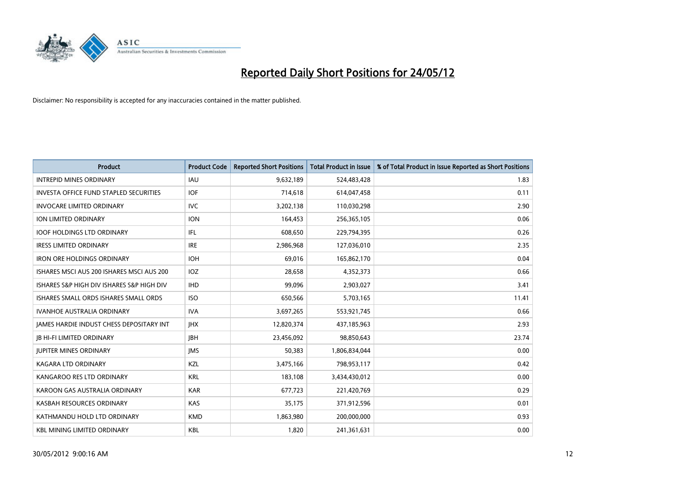

| <b>Product</b>                                | <b>Product Code</b> | <b>Reported Short Positions</b> | <b>Total Product in Issue</b> | % of Total Product in Issue Reported as Short Positions |
|-----------------------------------------------|---------------------|---------------------------------|-------------------------------|---------------------------------------------------------|
| <b>INTREPID MINES ORDINARY</b>                | <b>IAU</b>          | 9,632,189                       | 524,483,428                   | 1.83                                                    |
| <b>INVESTA OFFICE FUND STAPLED SECURITIES</b> | <b>IOF</b>          | 714,618                         | 614,047,458                   | 0.11                                                    |
| <b>INVOCARE LIMITED ORDINARY</b>              | IVC                 | 3,202,138                       | 110,030,298                   | 2.90                                                    |
| ION LIMITED ORDINARY                          | <b>ION</b>          | 164.453                         | 256,365,105                   | 0.06                                                    |
| <b>IOOF HOLDINGS LTD ORDINARY</b>             | IFL                 | 608,650                         | 229,794,395                   | 0.26                                                    |
| <b>IRESS LIMITED ORDINARY</b>                 | <b>IRE</b>          | 2,986,968                       | 127,036,010                   | 2.35                                                    |
| <b>IRON ORE HOLDINGS ORDINARY</b>             | <b>IOH</b>          | 69.016                          | 165,862,170                   | 0.04                                                    |
| ISHARES MSCLAUS 200 ISHARES MSCLAUS 200       | <b>IOZ</b>          | 28,658                          | 4,352,373                     | 0.66                                                    |
| ISHARES S&P HIGH DIV ISHARES S&P HIGH DIV     | <b>IHD</b>          | 99,096                          | 2,903,027                     | 3.41                                                    |
| ISHARES SMALL ORDS ISHARES SMALL ORDS         | <b>ISO</b>          | 650,566                         | 5,703,165                     | 11.41                                                   |
| <b>IVANHOE AUSTRALIA ORDINARY</b>             | <b>IVA</b>          | 3,697,265                       | 553,921,745                   | 0.66                                                    |
| JAMES HARDIE INDUST CHESS DEPOSITARY INT      | <b>IHX</b>          | 12,820,374                      | 437,185,963                   | 2.93                                                    |
| <b>JB HI-FI LIMITED ORDINARY</b>              | <b>JBH</b>          | 23,456,092                      | 98,850,643                    | 23.74                                                   |
| <b>JUPITER MINES ORDINARY</b>                 | <b>IMS</b>          | 50,383                          | 1,806,834,044                 | 0.00                                                    |
| <b>KAGARA LTD ORDINARY</b>                    | KZL                 | 3,475,166                       | 798,953,117                   | 0.42                                                    |
| KANGAROO RES LTD ORDINARY                     | <b>KRL</b>          | 183,108                         | 3,434,430,012                 | 0.00                                                    |
| KAROON GAS AUSTRALIA ORDINARY                 | <b>KAR</b>          | 677,723                         | 221,420,769                   | 0.29                                                    |
| KASBAH RESOURCES ORDINARY                     | <b>KAS</b>          | 35.175                          | 371,912,596                   | 0.01                                                    |
| KATHMANDU HOLD LTD ORDINARY                   | <b>KMD</b>          | 1,863,980                       | 200,000,000                   | 0.93                                                    |
| <b>KBL MINING LIMITED ORDINARY</b>            | <b>KBL</b>          | 1,820                           | 241,361,631                   | 0.00                                                    |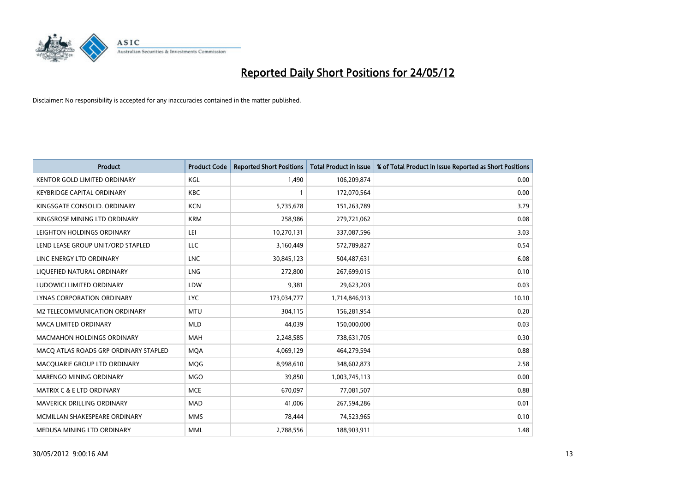

| <b>Product</b>                        | <b>Product Code</b> | <b>Reported Short Positions</b> | <b>Total Product in Issue</b> | % of Total Product in Issue Reported as Short Positions |
|---------------------------------------|---------------------|---------------------------------|-------------------------------|---------------------------------------------------------|
| <b>KENTOR GOLD LIMITED ORDINARY</b>   | KGL                 | 1.490                           | 106,209,874                   | 0.00                                                    |
| <b>KEYBRIDGE CAPITAL ORDINARY</b>     | <b>KBC</b>          |                                 | 172,070,564                   | 0.00                                                    |
| KINGSGATE CONSOLID, ORDINARY          | <b>KCN</b>          | 5,735,678                       | 151,263,789                   | 3.79                                                    |
| KINGSROSE MINING LTD ORDINARY         | <b>KRM</b>          | 258,986                         | 279,721,062                   | 0.08                                                    |
| LEIGHTON HOLDINGS ORDINARY            | LEI                 | 10,270,131                      | 337,087,596                   | 3.03                                                    |
| LEND LEASE GROUP UNIT/ORD STAPLED     | LLC                 | 3,160,449                       | 572,789,827                   | 0.54                                                    |
| LINC ENERGY LTD ORDINARY              | <b>LNC</b>          | 30,845,123                      | 504,487,631                   | 6.08                                                    |
| LIQUEFIED NATURAL ORDINARY            | <b>LNG</b>          | 272.800                         | 267,699,015                   | 0.10                                                    |
| LUDOWICI LIMITED ORDINARY             | LDW                 | 9,381                           | 29,623,203                    | 0.03                                                    |
| LYNAS CORPORATION ORDINARY            | <b>LYC</b>          | 173,034,777                     | 1,714,846,913                 | 10.10                                                   |
| M2 TELECOMMUNICATION ORDINARY         | <b>MTU</b>          | 304,115                         | 156,281,954                   | 0.20                                                    |
| <b>MACA LIMITED ORDINARY</b>          | <b>MLD</b>          | 44,039                          | 150,000,000                   | 0.03                                                    |
| <b>MACMAHON HOLDINGS ORDINARY</b>     | <b>MAH</b>          | 2,248,585                       | 738,631,705                   | 0.30                                                    |
| MACO ATLAS ROADS GRP ORDINARY STAPLED | <b>MQA</b>          | 4,069,129                       | 464,279,594                   | 0.88                                                    |
| MACQUARIE GROUP LTD ORDINARY          | <b>MQG</b>          | 8,998,610                       | 348,602,873                   | 2.58                                                    |
| MARENGO MINING ORDINARY               | <b>MGO</b>          | 39,850                          | 1,003,745,113                 | 0.00                                                    |
| <b>MATRIX C &amp; E LTD ORDINARY</b>  | <b>MCE</b>          | 670,097                         | 77,081,507                    | 0.88                                                    |
| <b>MAVERICK DRILLING ORDINARY</b>     | <b>MAD</b>          | 41,006                          | 267,594,286                   | 0.01                                                    |
| MCMILLAN SHAKESPEARE ORDINARY         | <b>MMS</b>          | 78,444                          | 74,523,965                    | 0.10                                                    |
| MEDUSA MINING LTD ORDINARY            | <b>MML</b>          | 2,788,556                       | 188,903,911                   | 1.48                                                    |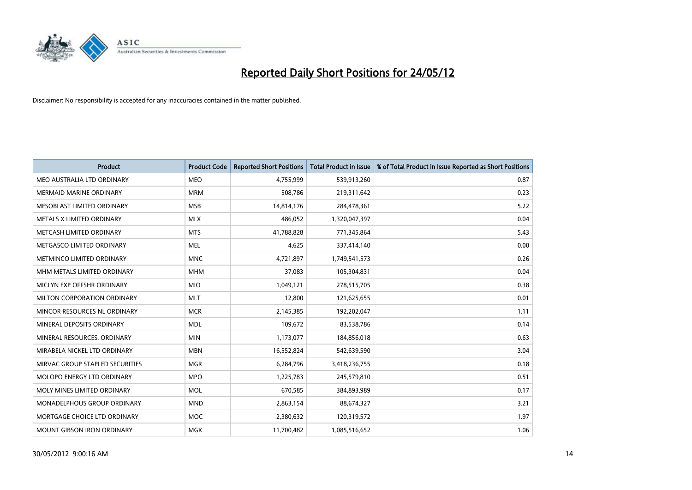

| <b>Product</b>                  | <b>Product Code</b> | <b>Reported Short Positions</b> | <b>Total Product in Issue</b> | % of Total Product in Issue Reported as Short Positions |
|---------------------------------|---------------------|---------------------------------|-------------------------------|---------------------------------------------------------|
| MEO AUSTRALIA LTD ORDINARY      | <b>MEO</b>          | 4,755,999                       | 539,913,260                   | 0.87                                                    |
| MERMAID MARINE ORDINARY         | <b>MRM</b>          | 508,786                         | 219,311,642                   | 0.23                                                    |
| MESOBLAST LIMITED ORDINARY      | <b>MSB</b>          | 14,814,176                      | 284,478,361                   | 5.22                                                    |
| METALS X LIMITED ORDINARY       | <b>MLX</b>          | 486,052                         | 1,320,047,397                 | 0.04                                                    |
| METCASH LIMITED ORDINARY        | <b>MTS</b>          | 41,788,828                      | 771,345,864                   | 5.43                                                    |
| METGASCO LIMITED ORDINARY       | <b>MEL</b>          | 4,625                           | 337,414,140                   | 0.00                                                    |
| METMINCO LIMITED ORDINARY       | <b>MNC</b>          | 4,721,897                       | 1,749,541,573                 | 0.26                                                    |
| MHM METALS LIMITED ORDINARY     | <b>MHM</b>          | 37,083                          | 105,304,831                   | 0.04                                                    |
| MICLYN EXP OFFSHR ORDINARY      | <b>MIO</b>          | 1,049,121                       | 278,515,705                   | 0.38                                                    |
| MILTON CORPORATION ORDINARY     | <b>MLT</b>          | 12,800                          | 121,625,655                   | 0.01                                                    |
| MINCOR RESOURCES NL ORDINARY    | <b>MCR</b>          | 2,145,385                       | 192,202,047                   | 1.11                                                    |
| MINERAL DEPOSITS ORDINARY       | <b>MDL</b>          | 109,672                         | 83,538,786                    | 0.14                                                    |
| MINERAL RESOURCES. ORDINARY     | <b>MIN</b>          | 1,173,077                       | 184,856,018                   | 0.63                                                    |
| MIRABELA NICKEL LTD ORDINARY    | <b>MBN</b>          | 16,552,824                      | 542,639,590                   | 3.04                                                    |
| MIRVAC GROUP STAPLED SECURITIES | <b>MGR</b>          | 6,284,796                       | 3,418,236,755                 | 0.18                                                    |
| MOLOPO ENERGY LTD ORDINARY      | <b>MPO</b>          | 1,225,783                       | 245,579,810                   | 0.51                                                    |
| MOLY MINES LIMITED ORDINARY     | <b>MOL</b>          | 670,585                         | 384,893,989                   | 0.17                                                    |
| MONADELPHOUS GROUP ORDINARY     | <b>MND</b>          | 2,863,154                       | 88,674,327                    | 3.21                                                    |
| MORTGAGE CHOICE LTD ORDINARY    | <b>MOC</b>          | 2,380,632                       | 120,319,572                   | 1.97                                                    |
| MOUNT GIBSON IRON ORDINARY      | MGX                 | 11,700,482                      | 1,085,516,652                 | 1.06                                                    |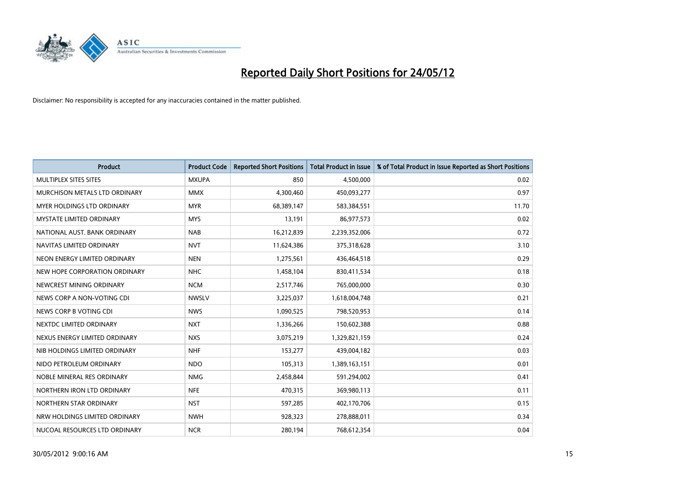

| <b>Product</b>                  | <b>Product Code</b> | <b>Reported Short Positions</b> | <b>Total Product in Issue</b> | % of Total Product in Issue Reported as Short Positions |
|---------------------------------|---------------------|---------------------------------|-------------------------------|---------------------------------------------------------|
| MULTIPLEX SITES SITES           | <b>MXUPA</b>        | 850                             | 4,500,000                     | 0.02                                                    |
| MURCHISON METALS LTD ORDINARY   | <b>MMX</b>          | 4,300,460                       | 450,093,277                   | 0.97                                                    |
| MYER HOLDINGS LTD ORDINARY      | <b>MYR</b>          | 68,389,147                      | 583,384,551                   | 11.70                                                   |
| <b>MYSTATE LIMITED ORDINARY</b> | <b>MYS</b>          | 13,191                          | 86,977,573                    | 0.02                                                    |
| NATIONAL AUST, BANK ORDINARY    | <b>NAB</b>          | 16,212,839                      | 2,239,352,006                 | 0.72                                                    |
| NAVITAS LIMITED ORDINARY        | <b>NVT</b>          | 11,624,386                      | 375,318,628                   | 3.10                                                    |
| NEON ENERGY LIMITED ORDINARY    | <b>NEN</b>          | 1,275,561                       | 436,464,518                   | 0.29                                                    |
| NEW HOPE CORPORATION ORDINARY   | <b>NHC</b>          | 1,458,104                       | 830,411,534                   | 0.18                                                    |
| NEWCREST MINING ORDINARY        | <b>NCM</b>          | 2,517,746                       | 765,000,000                   | 0.30                                                    |
| NEWS CORP A NON-VOTING CDI      | <b>NWSLV</b>        | 3,225,037                       | 1,618,004,748                 | 0.21                                                    |
| NEWS CORP B VOTING CDI          | <b>NWS</b>          | 1,090,525                       | 798,520,953                   | 0.14                                                    |
| NEXTDC LIMITED ORDINARY         | <b>NXT</b>          | 1,336,266                       | 150,602,388                   | 0.88                                                    |
| NEXUS ENERGY LIMITED ORDINARY   | <b>NXS</b>          | 3,075,219                       | 1,329,821,159                 | 0.24                                                    |
| NIB HOLDINGS LIMITED ORDINARY   | <b>NHF</b>          | 153,277                         | 439,004,182                   | 0.03                                                    |
| NIDO PETROLEUM ORDINARY         | <b>NDO</b>          | 105,313                         | 1,389,163,151                 | 0.01                                                    |
| NOBLE MINERAL RES ORDINARY      | <b>NMG</b>          | 2,458,844                       | 591,294,002                   | 0.41                                                    |
| NORTHERN IRON LTD ORDINARY      | <b>NFE</b>          | 470,315                         | 369,980,113                   | 0.11                                                    |
| NORTHERN STAR ORDINARY          | <b>NST</b>          | 597,285                         | 402,170,706                   | 0.15                                                    |
| NRW HOLDINGS LIMITED ORDINARY   | <b>NWH</b>          | 928,323                         | 278,888,011                   | 0.34                                                    |
| NUCOAL RESOURCES LTD ORDINARY   | <b>NCR</b>          | 280,194                         | 768,612,354                   | 0.04                                                    |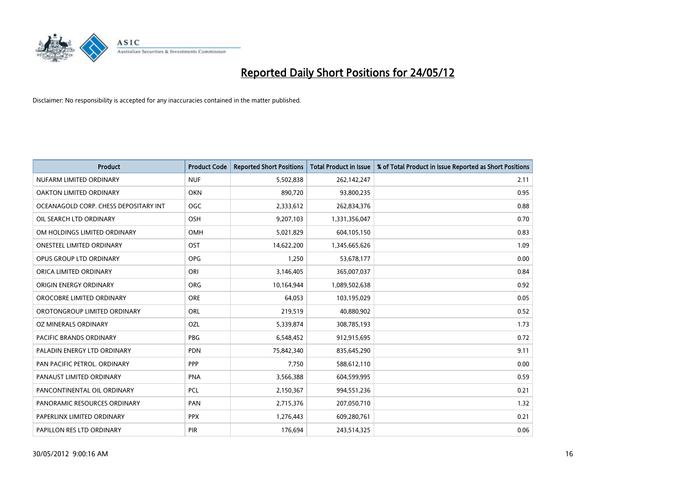

| <b>Product</b>                        | <b>Product Code</b> | <b>Reported Short Positions</b> | <b>Total Product in Issue</b> | % of Total Product in Issue Reported as Short Positions |
|---------------------------------------|---------------------|---------------------------------|-------------------------------|---------------------------------------------------------|
| NUFARM LIMITED ORDINARY               | <b>NUF</b>          | 5,502,838                       | 262,142,247                   | 2.11                                                    |
| OAKTON LIMITED ORDINARY               | <b>OKN</b>          | 890,720                         | 93,800,235                    | 0.95                                                    |
| OCEANAGOLD CORP. CHESS DEPOSITARY INT | <b>OGC</b>          | 2,333,612                       | 262,834,376                   | 0.88                                                    |
| OIL SEARCH LTD ORDINARY               | OSH                 | 9,207,103                       | 1,331,356,047                 | 0.70                                                    |
| OM HOLDINGS LIMITED ORDINARY          | <b>OMH</b>          | 5,021,829                       | 604,105,150                   | 0.83                                                    |
| <b>ONESTEEL LIMITED ORDINARY</b>      | OST                 | 14,622,200                      | 1,345,665,626                 | 1.09                                                    |
| OPUS GROUP LTD ORDINARY               | <b>OPG</b>          | 1,250                           | 53,678,177                    | 0.00                                                    |
| ORICA LIMITED ORDINARY                | ORI                 | 3,146,405                       | 365,007,037                   | 0.84                                                    |
| ORIGIN ENERGY ORDINARY                | <b>ORG</b>          | 10,164,944                      | 1,089,502,638                 | 0.92                                                    |
| OROCOBRE LIMITED ORDINARY             | <b>ORE</b>          | 64,053                          | 103,195,029                   | 0.05                                                    |
| OROTONGROUP LIMITED ORDINARY          | ORL                 | 219,519                         | 40,880,902                    | 0.52                                                    |
| OZ MINERALS ORDINARY                  | OZL                 | 5,339,874                       | 308,785,193                   | 1.73                                                    |
| PACIFIC BRANDS ORDINARY               | <b>PBG</b>          | 6,548,452                       | 912,915,695                   | 0.72                                                    |
| PALADIN ENERGY LTD ORDINARY           | <b>PDN</b>          | 75,842,340                      | 835,645,290                   | 9.11                                                    |
| PAN PACIFIC PETROL. ORDINARY          | PPP                 | 7,750                           | 588,612,110                   | 0.00                                                    |
| PANAUST LIMITED ORDINARY              | <b>PNA</b>          | 3,566,388                       | 604,599,995                   | 0.59                                                    |
| PANCONTINENTAL OIL ORDINARY           | <b>PCL</b>          | 2,150,367                       | 994,551,236                   | 0.21                                                    |
| PANORAMIC RESOURCES ORDINARY          | <b>PAN</b>          | 2,715,376                       | 207,050,710                   | 1.32                                                    |
| PAPERLINX LIMITED ORDINARY            | <b>PPX</b>          | 1,276,443                       | 609,280,761                   | 0.21                                                    |
| PAPILLON RES LTD ORDINARY             | <b>PIR</b>          | 176,694                         | 243,514,325                   | 0.06                                                    |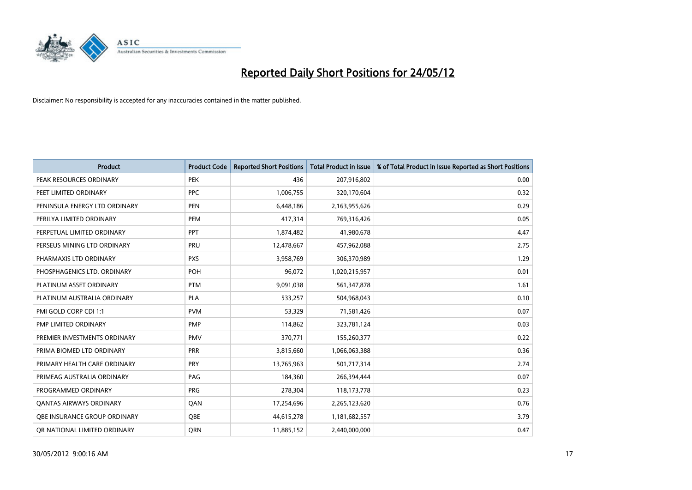

| <b>Product</b>                 | <b>Product Code</b> | <b>Reported Short Positions</b> | <b>Total Product in Issue</b> | % of Total Product in Issue Reported as Short Positions |
|--------------------------------|---------------------|---------------------------------|-------------------------------|---------------------------------------------------------|
| PEAK RESOURCES ORDINARY        | <b>PEK</b>          | 436                             | 207,916,802                   | 0.00                                                    |
| PEET LIMITED ORDINARY          | <b>PPC</b>          | 1,006,755                       | 320,170,604                   | 0.32                                                    |
| PENINSULA ENERGY LTD ORDINARY  | <b>PEN</b>          | 6,448,186                       | 2,163,955,626                 | 0.29                                                    |
| PERILYA LIMITED ORDINARY       | PEM                 | 417,314                         | 769,316,426                   | 0.05                                                    |
| PERPETUAL LIMITED ORDINARY     | <b>PPT</b>          | 1,874,482                       | 41,980,678                    | 4.47                                                    |
| PERSEUS MINING LTD ORDINARY    | PRU                 | 12,478,667                      | 457,962,088                   | 2.75                                                    |
| PHARMAXIS LTD ORDINARY         | <b>PXS</b>          | 3,958,769                       | 306,370,989                   | 1.29                                                    |
| PHOSPHAGENICS LTD. ORDINARY    | POH                 | 96,072                          | 1,020,215,957                 | 0.01                                                    |
| PLATINUM ASSET ORDINARY        | <b>PTM</b>          | 9,091,038                       | 561,347,878                   | 1.61                                                    |
| PLATINUM AUSTRALIA ORDINARY    | <b>PLA</b>          | 533,257                         | 504,968,043                   | 0.10                                                    |
| PMI GOLD CORP CDI 1:1          | <b>PVM</b>          | 53,329                          | 71,581,426                    | 0.07                                                    |
| PMP LIMITED ORDINARY           | <b>PMP</b>          | 114,862                         | 323,781,124                   | 0.03                                                    |
| PREMIER INVESTMENTS ORDINARY   | <b>PMV</b>          | 370,771                         | 155,260,377                   | 0.22                                                    |
| PRIMA BIOMED LTD ORDINARY      | <b>PRR</b>          | 3,815,660                       | 1,066,063,388                 | 0.36                                                    |
| PRIMARY HEALTH CARE ORDINARY   | <b>PRY</b>          | 13,765,963                      | 501,717,314                   | 2.74                                                    |
| PRIMEAG AUSTRALIA ORDINARY     | PAG                 | 184,360                         | 266,394,444                   | 0.07                                                    |
| PROGRAMMED ORDINARY            | <b>PRG</b>          | 278,304                         | 118, 173, 778                 | 0.23                                                    |
| <b>QANTAS AIRWAYS ORDINARY</b> | QAN                 | 17,254,696                      | 2,265,123,620                 | 0.76                                                    |
| OBE INSURANCE GROUP ORDINARY   | <b>OBE</b>          | 44,615,278                      | 1,181,682,557                 | 3.79                                                    |
| OR NATIONAL LIMITED ORDINARY   | <b>ORN</b>          | 11,885,152                      | 2,440,000,000                 | 0.47                                                    |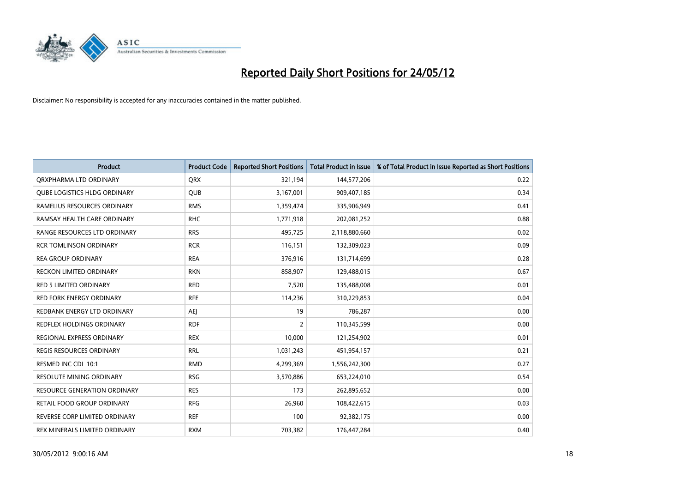

| <b>Product</b>                      | <b>Product Code</b> | <b>Reported Short Positions</b> | <b>Total Product in Issue</b> | % of Total Product in Issue Reported as Short Positions |
|-------------------------------------|---------------------|---------------------------------|-------------------------------|---------------------------------------------------------|
| ORXPHARMA LTD ORDINARY              | <b>QRX</b>          | 321,194                         | 144,577,206                   | 0.22                                                    |
| <b>QUBE LOGISTICS HLDG ORDINARY</b> | QUB                 | 3,167,001                       | 909,407,185                   | 0.34                                                    |
| RAMELIUS RESOURCES ORDINARY         | <b>RMS</b>          | 1,359,474                       | 335,906,949                   | 0.41                                                    |
| RAMSAY HEALTH CARE ORDINARY         | <b>RHC</b>          | 1,771,918                       | 202,081,252                   | 0.88                                                    |
| RANGE RESOURCES LTD ORDINARY        | <b>RRS</b>          | 495,725                         | 2,118,880,660                 | 0.02                                                    |
| <b>RCR TOMLINSON ORDINARY</b>       | <b>RCR</b>          | 116,151                         | 132,309,023                   | 0.09                                                    |
| <b>REA GROUP ORDINARY</b>           | <b>REA</b>          | 376,916                         | 131,714,699                   | 0.28                                                    |
| RECKON LIMITED ORDINARY             | <b>RKN</b>          | 858,907                         | 129,488,015                   | 0.67                                                    |
| <b>RED 5 LIMITED ORDINARY</b>       | <b>RED</b>          | 7,520                           | 135,488,008                   | 0.01                                                    |
| <b>RED FORK ENERGY ORDINARY</b>     | <b>RFE</b>          | 114,236                         | 310,229,853                   | 0.04                                                    |
| REDBANK ENERGY LTD ORDINARY         | <b>AEJ</b>          | 19                              | 786,287                       | 0.00                                                    |
| REDFLEX HOLDINGS ORDINARY           | <b>RDF</b>          | $\overline{2}$                  | 110,345,599                   | 0.00                                                    |
| REGIONAL EXPRESS ORDINARY           | <b>REX</b>          | 10,000                          | 121,254,902                   | 0.01                                                    |
| <b>REGIS RESOURCES ORDINARY</b>     | <b>RRL</b>          | 1,031,243                       | 451,954,157                   | 0.21                                                    |
| RESMED INC CDI 10:1                 | <b>RMD</b>          | 4,299,369                       | 1,556,242,300                 | 0.27                                                    |
| RESOLUTE MINING ORDINARY            | <b>RSG</b>          | 3,570,886                       | 653,224,010                   | 0.54                                                    |
| <b>RESOURCE GENERATION ORDINARY</b> | <b>RES</b>          | 173                             | 262,895,652                   | 0.00                                                    |
| RETAIL FOOD GROUP ORDINARY          | <b>RFG</b>          | 26,960                          | 108,422,615                   | 0.03                                                    |
| REVERSE CORP LIMITED ORDINARY       | <b>REF</b>          | 100                             | 92,382,175                    | 0.00                                                    |
| REX MINERALS LIMITED ORDINARY       | <b>RXM</b>          | 703,382                         | 176,447,284                   | 0.40                                                    |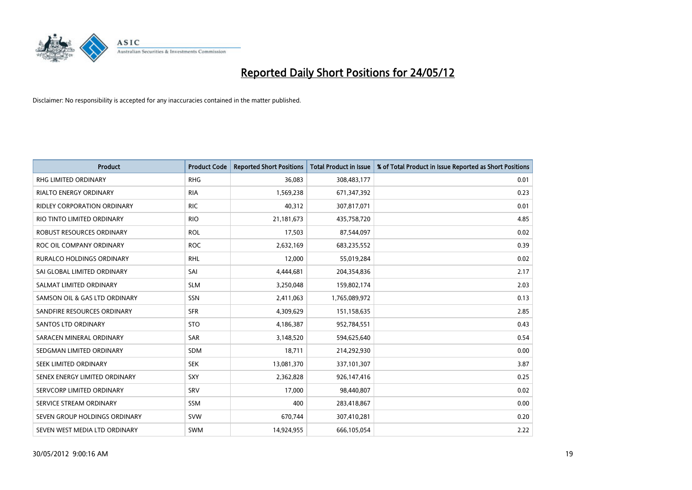

| <b>Product</b>                   | <b>Product Code</b> | <b>Reported Short Positions</b> | <b>Total Product in Issue</b> | % of Total Product in Issue Reported as Short Positions |
|----------------------------------|---------------------|---------------------------------|-------------------------------|---------------------------------------------------------|
| <b>RHG LIMITED ORDINARY</b>      | <b>RHG</b>          | 36,083                          | 308,483,177                   | 0.01                                                    |
| <b>RIALTO ENERGY ORDINARY</b>    | <b>RIA</b>          | 1,569,238                       | 671,347,392                   | 0.23                                                    |
| RIDLEY CORPORATION ORDINARY      | <b>RIC</b>          | 40,312                          | 307,817,071                   | 0.01                                                    |
| RIO TINTO LIMITED ORDINARY       | <b>RIO</b>          | 21,181,673                      | 435,758,720                   | 4.85                                                    |
| <b>ROBUST RESOURCES ORDINARY</b> | <b>ROL</b>          | 17,503                          | 87,544,097                    | 0.02                                                    |
| ROC OIL COMPANY ORDINARY         | <b>ROC</b>          | 2,632,169                       | 683,235,552                   | 0.39                                                    |
| <b>RURALCO HOLDINGS ORDINARY</b> | <b>RHL</b>          | 12,000                          | 55,019,284                    | 0.02                                                    |
| SAI GLOBAL LIMITED ORDINARY      | SAI                 | 4,444,681                       | 204,354,836                   | 2.17                                                    |
| SALMAT LIMITED ORDINARY          | <b>SLM</b>          | 3,250,048                       | 159,802,174                   | 2.03                                                    |
| SAMSON OIL & GAS LTD ORDINARY    | SSN                 | 2,411,063                       | 1,765,089,972                 | 0.13                                                    |
| SANDFIRE RESOURCES ORDINARY      | <b>SFR</b>          | 4,309,629                       | 151,158,635                   | 2.85                                                    |
| <b>SANTOS LTD ORDINARY</b>       | <b>STO</b>          | 4,186,387                       | 952,784,551                   | 0.43                                                    |
| SARACEN MINERAL ORDINARY         | SAR                 | 3,148,520                       | 594,625,640                   | 0.54                                                    |
| SEDGMAN LIMITED ORDINARY         | SDM                 | 18,711                          | 214,292,930                   | 0.00                                                    |
| SEEK LIMITED ORDINARY            | <b>SEK</b>          | 13,081,370                      | 337,101,307                   | 3.87                                                    |
| SENEX ENERGY LIMITED ORDINARY    | SXY                 | 2,362,828                       | 926,147,416                   | 0.25                                                    |
| SERVCORP LIMITED ORDINARY        | SRV                 | 17,000                          | 98,440,807                    | 0.02                                                    |
| SERVICE STREAM ORDINARY          | <b>SSM</b>          | 400                             | 283,418,867                   | 0.00                                                    |
| SEVEN GROUP HOLDINGS ORDINARY    | <b>SVW</b>          | 670,744                         | 307,410,281                   | 0.20                                                    |
| SEVEN WEST MEDIA LTD ORDINARY    | SWM                 | 14,924,955                      | 666,105,054                   | 2.22                                                    |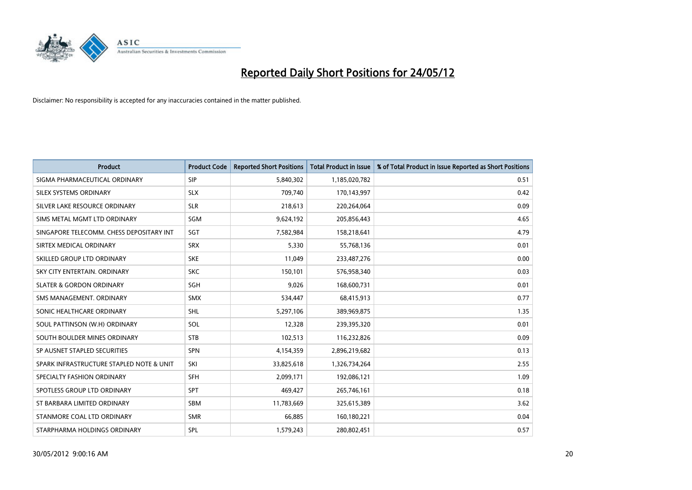

| <b>Product</b>                           | <b>Product Code</b> | <b>Reported Short Positions</b> | <b>Total Product in Issue</b> | % of Total Product in Issue Reported as Short Positions |
|------------------------------------------|---------------------|---------------------------------|-------------------------------|---------------------------------------------------------|
| SIGMA PHARMACEUTICAL ORDINARY            | <b>SIP</b>          | 5,840,302                       | 1,185,020,782                 | 0.51                                                    |
| SILEX SYSTEMS ORDINARY                   | <b>SLX</b>          | 709,740                         | 170,143,997                   | 0.42                                                    |
| SILVER LAKE RESOURCE ORDINARY            | <b>SLR</b>          | 218,613                         | 220,264,064                   | 0.09                                                    |
| SIMS METAL MGMT LTD ORDINARY             | SGM                 | 9,624,192                       | 205,856,443                   | 4.65                                                    |
| SINGAPORE TELECOMM. CHESS DEPOSITARY INT | SGT                 | 7,582,984                       | 158,218,641                   | 4.79                                                    |
| SIRTEX MEDICAL ORDINARY                  | <b>SRX</b>          | 5,330                           | 55,768,136                    | 0.01                                                    |
| SKILLED GROUP LTD ORDINARY               | <b>SKE</b>          | 11,049                          | 233,487,276                   | 0.00                                                    |
| SKY CITY ENTERTAIN. ORDINARY             | <b>SKC</b>          | 150,101                         | 576,958,340                   | 0.03                                                    |
| <b>SLATER &amp; GORDON ORDINARY</b>      | SGH                 | 9,026                           | 168,600,731                   | 0.01                                                    |
| SMS MANAGEMENT, ORDINARY                 | <b>SMX</b>          | 534,447                         | 68,415,913                    | 0.77                                                    |
| SONIC HEALTHCARE ORDINARY                | <b>SHL</b>          | 5,297,106                       | 389,969,875                   | 1.35                                                    |
| SOUL PATTINSON (W.H) ORDINARY            | SOL                 | 12,328                          | 239,395,320                   | 0.01                                                    |
| SOUTH BOULDER MINES ORDINARY             | <b>STB</b>          | 102,513                         | 116,232,826                   | 0.09                                                    |
| SP AUSNET STAPLED SECURITIES             | SPN                 | 4,154,359                       | 2,896,219,682                 | 0.13                                                    |
| SPARK INFRASTRUCTURE STAPLED NOTE & UNIT | SKI                 | 33,825,618                      | 1,326,734,264                 | 2.55                                                    |
| SPECIALTY FASHION ORDINARY               | SFH                 | 2,099,171                       | 192,086,121                   | 1.09                                                    |
| SPOTLESS GROUP LTD ORDINARY              | <b>SPT</b>          | 469,427                         | 265,746,161                   | 0.18                                                    |
| ST BARBARA LIMITED ORDINARY              | <b>SBM</b>          | 11,783,669                      | 325,615,389                   | 3.62                                                    |
| STANMORE COAL LTD ORDINARY               | <b>SMR</b>          | 66,885                          | 160,180,221                   | 0.04                                                    |
| STARPHARMA HOLDINGS ORDINARY             | <b>SPL</b>          | 1,579,243                       | 280,802,451                   | 0.57                                                    |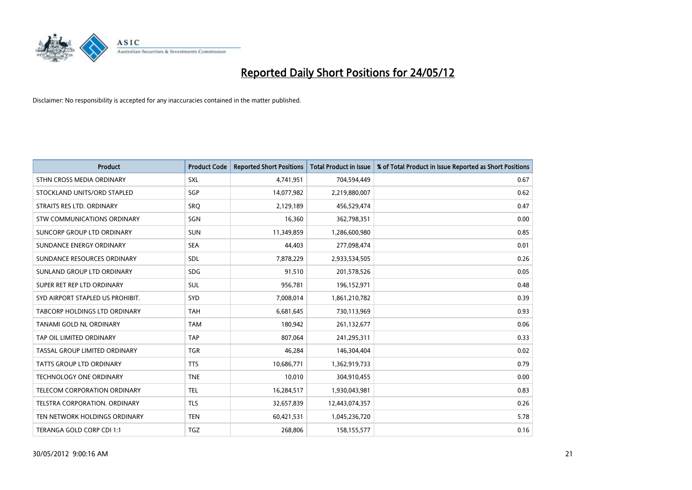

| <b>Product</b>                     | <b>Product Code</b> | <b>Reported Short Positions</b> | <b>Total Product in Issue</b> | % of Total Product in Issue Reported as Short Positions |
|------------------------------------|---------------------|---------------------------------|-------------------------------|---------------------------------------------------------|
| STHN CROSS MEDIA ORDINARY          | <b>SXL</b>          | 4,741,951                       | 704,594,449                   | 0.67                                                    |
| STOCKLAND UNITS/ORD STAPLED        | SGP                 | 14,077,982                      | 2,219,880,007                 | 0.62                                                    |
| STRAITS RES LTD. ORDINARY          | <b>SRO</b>          | 2,129,189                       | 456,529,474                   | 0.47                                                    |
| <b>STW COMMUNICATIONS ORDINARY</b> | SGN                 | 16,360                          | 362,798,351                   | 0.00                                                    |
| SUNCORP GROUP LTD ORDINARY         | <b>SUN</b>          | 11,349,859                      | 1,286,600,980                 | 0.85                                                    |
| SUNDANCE ENERGY ORDINARY           | <b>SEA</b>          | 44,403                          | 277,098,474                   | 0.01                                                    |
| SUNDANCE RESOURCES ORDINARY        | SDL                 | 7,878,229                       | 2,933,534,505                 | 0.26                                                    |
| SUNLAND GROUP LTD ORDINARY         | <b>SDG</b>          | 91,510                          | 201,578,526                   | 0.05                                                    |
| SUPER RET REP LTD ORDINARY         | <b>SUL</b>          | 956,781                         | 196,152,971                   | 0.48                                                    |
| SYD AIRPORT STAPLED US PROHIBIT.   | <b>SYD</b>          | 7,008,014                       | 1,861,210,782                 | 0.39                                                    |
| TABCORP HOLDINGS LTD ORDINARY      | <b>TAH</b>          | 6,681,645                       | 730,113,969                   | 0.93                                                    |
| TANAMI GOLD NL ORDINARY            | <b>TAM</b>          | 180,942                         | 261,132,677                   | 0.06                                                    |
| TAP OIL LIMITED ORDINARY           | <b>TAP</b>          | 807,064                         | 241,295,311                   | 0.33                                                    |
| TASSAL GROUP LIMITED ORDINARY      | <b>TGR</b>          | 46,284                          | 146,304,404                   | 0.02                                                    |
| <b>TATTS GROUP LTD ORDINARY</b>    | <b>TTS</b>          | 10,686,771                      | 1,362,919,733                 | 0.79                                                    |
| TECHNOLOGY ONE ORDINARY            | <b>TNE</b>          | 10,010                          | 304,910,455                   | 0.00                                                    |
| TELECOM CORPORATION ORDINARY       | <b>TEL</b>          | 16,284,517                      | 1,930,043,981                 | 0.83                                                    |
| TELSTRA CORPORATION. ORDINARY      | <b>TLS</b>          | 32,657,839                      | 12,443,074,357                | 0.26                                                    |
| TEN NETWORK HOLDINGS ORDINARY      | <b>TEN</b>          | 60,421,531                      | 1,045,236,720                 | 5.78                                                    |
| TERANGA GOLD CORP CDI 1:1          | <b>TGZ</b>          | 268,806                         | 158,155,577                   | 0.16                                                    |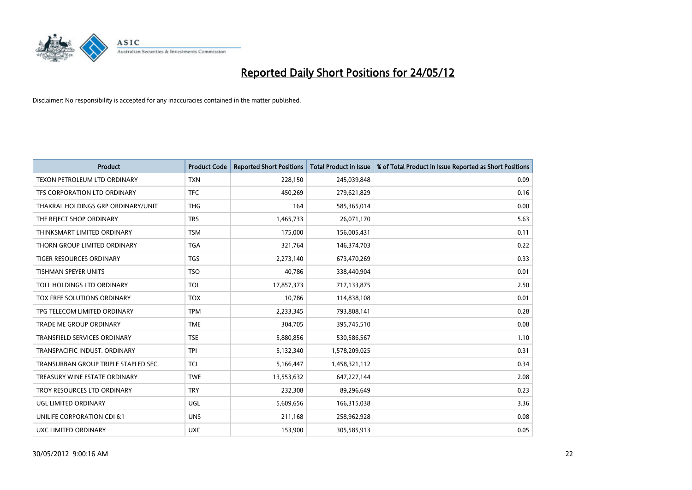

| <b>Product</b>                       | <b>Product Code</b> | <b>Reported Short Positions</b> | <b>Total Product in Issue</b> | % of Total Product in Issue Reported as Short Positions |
|--------------------------------------|---------------------|---------------------------------|-------------------------------|---------------------------------------------------------|
| TEXON PETROLEUM LTD ORDINARY         | <b>TXN</b>          | 228,150                         | 245,039,848                   | 0.09                                                    |
| TFS CORPORATION LTD ORDINARY         | <b>TFC</b>          | 450,269                         | 279,621,829                   | 0.16                                                    |
| THAKRAL HOLDINGS GRP ORDINARY/UNIT   | <b>THG</b>          | 164                             | 585,365,014                   | 0.00                                                    |
| THE REJECT SHOP ORDINARY             | <b>TRS</b>          | 1,465,733                       | 26,071,170                    | 5.63                                                    |
| THINKSMART LIMITED ORDINARY          | <b>TSM</b>          | 175,000                         | 156,005,431                   | 0.11                                                    |
| THORN GROUP LIMITED ORDINARY         | <b>TGA</b>          | 321,764                         | 146,374,703                   | 0.22                                                    |
| TIGER RESOURCES ORDINARY             | <b>TGS</b>          | 2,273,140                       | 673,470,269                   | 0.33                                                    |
| TISHMAN SPEYER UNITS                 | <b>TSO</b>          | 40,786                          | 338,440,904                   | 0.01                                                    |
| TOLL HOLDINGS LTD ORDINARY           | <b>TOL</b>          | 17,857,373                      | 717,133,875                   | 2.50                                                    |
| TOX FREE SOLUTIONS ORDINARY          | <b>TOX</b>          | 10,786                          | 114,838,108                   | 0.01                                                    |
| TPG TELECOM LIMITED ORDINARY         | <b>TPM</b>          | 2,233,345                       | 793,808,141                   | 0.28                                                    |
| <b>TRADE ME GROUP ORDINARY</b>       | <b>TME</b>          | 304,705                         | 395,745,510                   | 0.08                                                    |
| <b>TRANSFIELD SERVICES ORDINARY</b>  | <b>TSE</b>          | 5,880,856                       | 530,586,567                   | 1.10                                                    |
| TRANSPACIFIC INDUST, ORDINARY        | <b>TPI</b>          | 5,132,340                       | 1,578,209,025                 | 0.31                                                    |
| TRANSURBAN GROUP TRIPLE STAPLED SEC. | <b>TCL</b>          | 5,166,447                       | 1,458,321,112                 | 0.34                                                    |
| TREASURY WINE ESTATE ORDINARY        | <b>TWE</b>          | 13,553,632                      | 647,227,144                   | 2.08                                                    |
| TROY RESOURCES LTD ORDINARY          | <b>TRY</b>          | 232,308                         | 89,296,649                    | 0.23                                                    |
| UGL LIMITED ORDINARY                 | UGL                 | 5,609,656                       | 166,315,038                   | 3.36                                                    |
| UNILIFE CORPORATION CDI 6:1          | <b>UNS</b>          | 211,168                         | 258,962,928                   | 0.08                                                    |
| <b>UXC LIMITED ORDINARY</b>          | <b>UXC</b>          | 153,900                         | 305,585,913                   | 0.05                                                    |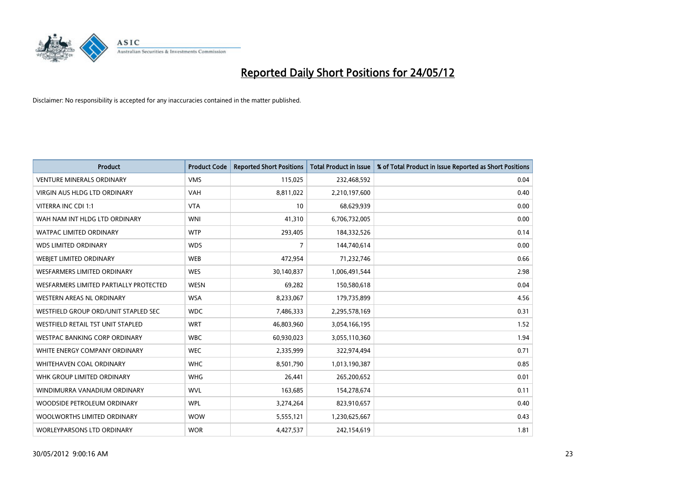

| <b>Product</b>                         | <b>Product Code</b> | <b>Reported Short Positions</b> | <b>Total Product in Issue</b> | % of Total Product in Issue Reported as Short Positions |
|----------------------------------------|---------------------|---------------------------------|-------------------------------|---------------------------------------------------------|
| <b>VENTURE MINERALS ORDINARY</b>       | <b>VMS</b>          | 115,025                         | 232,468,592                   | 0.04                                                    |
| <b>VIRGIN AUS HLDG LTD ORDINARY</b>    | <b>VAH</b>          | 8,811,022                       | 2,210,197,600                 | 0.40                                                    |
| VITERRA INC CDI 1:1                    | <b>VTA</b>          | 10                              | 68,629,939                    | 0.00                                                    |
| WAH NAM INT HLDG LTD ORDINARY          | <b>WNI</b>          | 41,310                          | 6,706,732,005                 | 0.00                                                    |
| <b>WATPAC LIMITED ORDINARY</b>         | <b>WTP</b>          | 293,405                         | 184,332,526                   | 0.14                                                    |
| <b>WDS LIMITED ORDINARY</b>            | <b>WDS</b>          | $\overline{7}$                  | 144,740,614                   | 0.00                                                    |
| WEBJET LIMITED ORDINARY                | <b>WEB</b>          | 472,954                         | 71,232,746                    | 0.66                                                    |
| <b>WESFARMERS LIMITED ORDINARY</b>     | <b>WES</b>          | 30,140,837                      | 1,006,491,544                 | 2.98                                                    |
| WESFARMERS LIMITED PARTIALLY PROTECTED | <b>WESN</b>         | 69,282                          | 150,580,618                   | 0.04                                                    |
| <b>WESTERN AREAS NL ORDINARY</b>       | <b>WSA</b>          | 8,233,067                       | 179,735,899                   | 4.56                                                    |
| WESTFIELD GROUP ORD/UNIT STAPLED SEC   | <b>WDC</b>          | 7,486,333                       | 2,295,578,169                 | 0.31                                                    |
| WESTFIELD RETAIL TST UNIT STAPLED      | <b>WRT</b>          | 46,803,960                      | 3,054,166,195                 | 1.52                                                    |
| <b>WESTPAC BANKING CORP ORDINARY</b>   | <b>WBC</b>          | 60,930,023                      | 3,055,110,360                 | 1.94                                                    |
| WHITE ENERGY COMPANY ORDINARY          | <b>WEC</b>          | 2,335,999                       | 322,974,494                   | 0.71                                                    |
| WHITEHAVEN COAL ORDINARY               | <b>WHC</b>          | 8,501,790                       | 1,013,190,387                 | 0.85                                                    |
| WHK GROUP LIMITED ORDINARY             | <b>WHG</b>          | 26,441                          | 265,200,652                   | 0.01                                                    |
| WINDIMURRA VANADIUM ORDINARY           | <b>WVL</b>          | 163,685                         | 154,278,674                   | 0.11                                                    |
| WOODSIDE PETROLEUM ORDINARY            | <b>WPL</b>          | 3,274,264                       | 823,910,657                   | 0.40                                                    |
| WOOLWORTHS LIMITED ORDINARY            | <b>WOW</b>          | 5,555,121                       | 1,230,625,667                 | 0.43                                                    |
| WORLEYPARSONS LTD ORDINARY             | <b>WOR</b>          | 4,427,537                       | 242,154,619                   | 1.81                                                    |